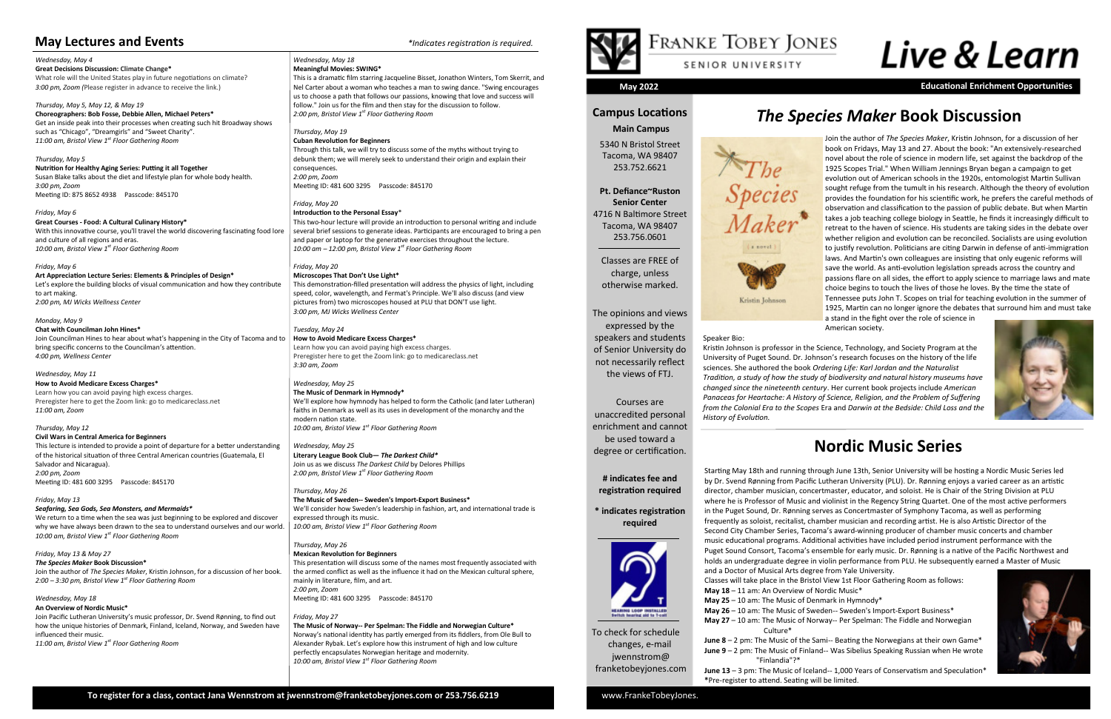To check for schedule changes, e-mail jwennstrom@ franketobeyjones.com

#### **Campus Locations Main Campus**

Species

Maker<sup>\*</sup>

Kristin Johnson

5340 N Bristol Street Tacoma, WA 98407 253.752.6621

**Pt. Defiance~Ruston Senior Center** 4716 N Baltimore Street Tacoma, WA 98407 253.756.0601

Classes are FREE of charge, unless otherwise marked.

The opinions and views expressed by the speakers and students of Senior University do not necessarily reflect the views of FTJ.

Courses are unaccredited personal enrichment and cannot be used toward a degree or certification.

#### **# indicates fee and registration required**

**\* indicates registration required**



**May 2022 Educational Enrichment Opportunities**

#### *Wednesday, May 4* **Great Decisions Discussion: Climate Change\*** What role will the United States play in future negotiations on climate? *3:00 pm, Zoom (*Please register in advance to receive the link.)

*Thursday, May 5, May 12, & May 19* **Choreographers: Bob Fosse, Debbie Allen, Michael Peters\*** Get an inside peak into their processes when creating such hit Broadway shows such as "Chicago", "Dreamgirls" and "Sweet Charity". *11:00 am, Bristol View 1st Floor Gathering Room*

*Thursday, May 5* **Nutrition for Healthy Aging Series: Putting it all Together** Susan Blake talks about the diet and lifestyle plan for whole body health. *3:00 pm, Zoom* Meeting ID: 875 8652 4938 Passcode: 845170

*Friday, May 6*  **Great Courses - Food: A Cultural Culinary History\*** With this innovative course, you'll travel the world discovering fascinating food lore and culture of all regions and eras. *10:00 am, Bristol View 1st Floor Gathering Room*

#### *Friday, May 6*

**Art Appreciation Lecture Series: Elements & Principles of Design\*** Let's explore the building blocks of visual communication and how they contribute to art making. *2:00 pm, MJ Wicks Wellness Center* 

*Monday, May 9*

**Chat with Councilman John Hines\*** Join Councilman Hines to hear about what's happening in the City of Tacoma and to bring specific concerns to the Councilman's attention. *4:00 pm, Wellness Center*

#### *Wednesday, May 11*

**How to Avoid Medicare Excess Charges\*** Learn how you can avoid paying high excess charges. Preregister here to get the Zoom link: go to medicareclass.net *11:00 am, Zoom* 

#### *Thursday, May 12*

**Civil Wars in Central America for Beginners** This lecture is intended to provide a point of departure for a better understanding of the historical situation of three Central American countries (Guatemala, El Salvador and Nicaragua). *2:00 pm, Zoom*  Meeting ID: 481 600 3295 Passcode: 845170

#### *Friday, May 13*

*Seafaring, Sea Gods, Sea Monsters, and Mermaids\**

We return to a time when the sea was just beginning to be explored and discover why we have always been drawn to the sea to understand ourselves and our world. *10:00 am, Bristol View 1st Floor Gathering Room*

*Friday, May 13 & May 27 The Species Maker* **Book Discussion\*** Join the author of *The Species Maker*, Kristin Johnson, for a discussion of her book. *2:00 – 3:30 pm, Bristol View 1st Floor Gathering Room*

*Wednesday, May 18*

#### **An Overview of Nordic Music\***

Join Pacific Lutheran University's music professor, Dr. Svend Rønning, to find out how the unique histories of Denmark, Finland, Iceland, Norway, and Sweden have influenced their music. *11:00 am, Bristol View 1st Floor Gathering Room*

#### *Wednesday, May 18*

#### **Meaningful Movies: SWING\***

This is a dramatic film starring Jacqueline Bisset, Jonathon Winters, Tom Skerrit, and Nel Carter about a woman who teaches a man to swing dance. "Swing encourages us to choose a path that follows our passions, knowing that love and success will follow." Join us for the film and then stay for the discussion to follow. *2:00 pm, Bristol View 1st Floor Gathering Room*

*Thursday, May 19*

#### **Cuban Revolution for Beginners**

Through this talk, we will try to discuss some of the myths without trying to debunk them; we will merely seek to understand their origin and explain their consequences. *2:00 pm, Zoom*  Meeting ID: 481 600 3295 Passcode: 845170

*Friday, May 20* **Introduction to the Personal Essay**\*

This two-hour lecture will provide an introduction to personal writing and include several brief sessions to generate ideas. Participants are encouraged to bring a pen and paper or laptop for the generative exercises throughout the lecture. *10:00 am – 12:00 pm, Bristol View 1st Floor Gathering Room*

*Friday, May 20*

**Microscopes That Don't Use Light\*** This demonstration-filled presentation will address the physics of light, including speed, color, wavelength, and Fermat's Principle. We'll also discuss (and view pictures from) two microscopes housed at PLU that DON'T use light. *3:00 pm, MJ Wicks Wellness Center*

*Tuesday, May 24* **How to Avoid Medicare Excess Charges\*** Learn how you can avoid paying high excess charges. Preregister here to get the Zoom link: go to medicareclass.net *3:30 am, Zoom* 

#### *Wednesday, May 25* **The Music of Denmark in Hymnody\***

We'll explore how hymnody has helped to form the Catholic (and later Lutheran) faiths in Denmark as well as its uses in development of the monarchy and the modern nation state. *10:00 am, Bristol View 1st Floor Gathering Room*

*Wednesday, May 25* **Literary League Book Club—** *The Darkest Child\** Join us as we discuss *The Darkest Child* by Delores Phillips *2:00 pm, Bristol View 1st Floor Gathering Room*

*Thursday, May 26*

**The Music of Sweden-- Sweden's Import-Export Business\*** We'll consider how Sweden's leadership in fashion, art, and international trade is expressed through its music.

*10:00 am, Bristol View 1st Floor Gathering Room*

*Thursday, May 26* **Mexican Revolution for Beginners**

This presentation will discuss some of the names most frequently associated with the armed conflict as well as the influence it had on the Mexican cultural sphere, mainly in literature, film, and art. *2:00 pm, Zoom*  Meeting ID: 481 600 3295 Passcode: 845170

*Friday, May 27* **The Music of Norway-- Per Spelman: The Fiddle and Norwegian Culture\*** Norway's national identity has partly emerged from its fiddlers, from Ole Bull to Alexander Rybak. Let's explore how this instrument of high and low culture perfectly encapsulates Norwegian heritage and modernity. *10:00 am, Bristol View 1st Floor Gathering Room*



# Live & Learn

## **Nordic Music Series**

#### **May Lectures and Events** *\*Indicates registration is required.*

### *The Species Maker* **Book Discussion**

Starting May 18th and running through June 13th, Senior University will be hosting a Nordic Music Series led by Dr. Svend Rønning from Pacific Lutheran University (PLU). Dr. Rønning enjoys a varied career as an artistic director, chamber musician, concertmaster, educator, and soloist. He is Chair of the String Division at PLU where he is Professor of Music and violinist in the Regency String Quartet. One of the most active performers in the Puget Sound, Dr. Rønning serves as Concertmaster of Symphony Tacoma, as well as performing frequently as soloist, recitalist, chamber musician and recording artist. He is also Artistic Director of the Second City Chamber Series, Tacoma's award-winning producer of chamber music concerts and chamber music educational programs. Additional activities have included period instrument performance with the Puget Sound Consort, Tacoma's ensemble for early music. Dr. Rønning is a native of the Pacific Northwest and holds an undergraduate degree in violin performance from PLU. He subsequently earned a Master of Music and a Doctor of Musical Arts degree from Yale University.

Classes will take place in the Bristol View 1st Floor Gathering Room as follows:

**May 18** – 11 am: An Overview of Nordic Music\* **May 25** – 10 am: The Music of Denmark in Hymnody\* Culture\*

- 
- 
- **May 26**  10 am: The Music of Sweden-- Sweden's Import-Export Business\*
- **May 27**  10 am: The Music of Norway-- Per Spelman: The Fiddle and Norwegian

**June 8** – 2 pm: The Music of the Sami-- Beating the Norwegians at their own Game\* **June 9** – 2 pm: The Music of Finland-- Was Sibelius Speaking Russian when He wrote



 "Finlandia"?\* **June 13** – 3 pm: The Music of Iceland-- 1,000 Years of Conservatism and Speculation\* **\***Pre-register to attend. Seating will be limited.

Join the author of *The Species Maker*, Kristin Johnson, for a discussion of her book on Fridays, May 13 and 27. About the book: "An extensively-researched novel about the role of science in modern life, set against the backdrop of the 1925 Scopes Trial." When William Jennings Bryan began a campaign to get evolution out of American schools in the 1920s, entomologist Martin Sullivan sought refuge from the tumult in his research. Although the theory of evolution provides the foundation for his scientific work, he prefers the careful methods of observation and classification to the passion of public debate. But when Martin takes a job teaching college biology in Seattle, he finds it increasingly difficult to retreat to the haven of science. His students are taking sides in the debate over whether religion and evolution can be reconciled. Socialists are using evolution to justify revolution. Politicians are citing Darwin in defense of anti-immigration laws. And Martin's own colleagues are insisting that only eugenic reforms will save the world. As anti-evolution legislation spreads across the country and passions flare on all sides, the effort to apply science to marriage laws and mate choice begins to touch the lives of those he loves. By the time the state of Tennessee puts John T. Scopes on trial for teaching evolution in the summer of 1925, Martin can no longer ignore the debates that surround him and must take

a stand in the fight over the role of science in American society.

Speaker Bio:

Kristin Johnson is professor in the Science, Technology, and Society Program at the University of Puget Sound. Dr. Johnson's research focuses on the history of the life sciences. She authored the book *Ordering Life: Karl Jordan and the Naturalist Tradition, a study of how the study of biodiversity and natural history museums have changed since the nineteenth century*. Her current book projects include *American Panaceas for Heartache: A History of Science, Religion, and the Problem of Suffering from the Colonial Era to the Scopes* Era and *Darwin at the Bedside: Child Loss and the* 



*History of Evolution.*